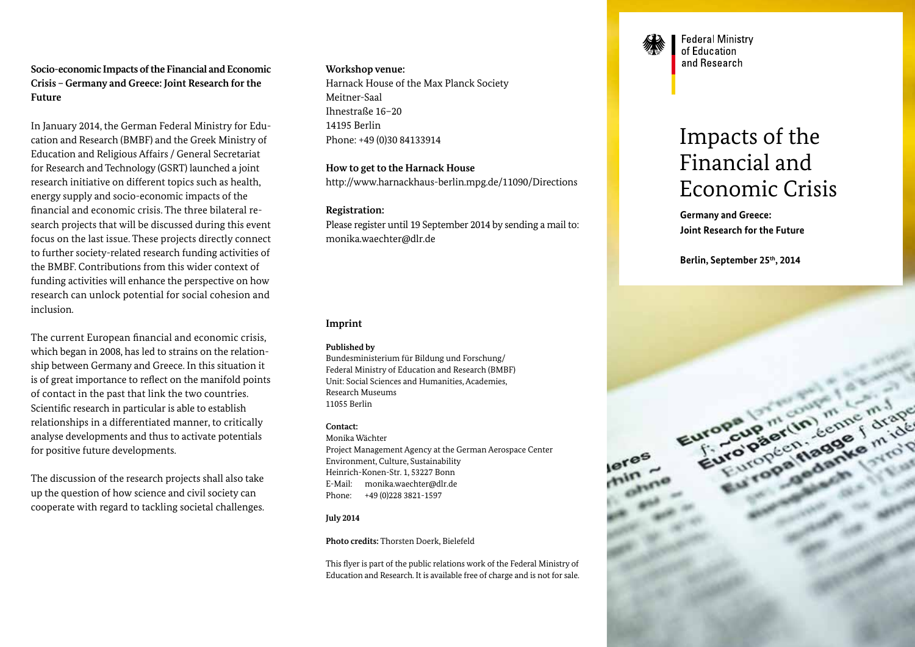## **Socio-economic Impacts of the Financial and Economic Crisis – Germany and Greece: Joint Research for the Future**

In January 2014, the German Federal Ministry for Education and Research (BMBF) and the Greek Ministry of Education and Religious Affairs / General Secretariat for Research and Technology (GSRT) launched a joint research initiative on different topics such as health, energy supply and socio-economic impacts of the financial and economic crisis. The three bilateral research projects that will be discussed during this event focus on the last issue. These projects directly connect to further society-related research funding activities of the BMBF. Contributions from this wider context of funding activities will enhance the perspective on how research can unlock potential for social cohesion and inclusion.

The current European financial and economic crisis, which began in 2008, has led to strains on the relationship between Germany and Greece. In this situation it is of great importance to reflect on the manifold points of contact in the past that link the two countries. Scientific research in particular is able to establish relationships in a differentiated manner, to critically analyse developments and thus to activate potentials for positive future developments.

The discussion of the research projects shall also take up the question of how science and civil society can cooperate with regard to tackling societal challenges.

## **Workshop venue:**

Harnack House of the Max Planck Society Meitner-Saal Ihnestraße 16–20 14195 Berlin Phone: +49 (0)30 84133914

**How to get to the Harnack House** http://www.harnackhaus-berlin.mpg.de/11090/Directions

## **Registration:**

Please register until 19 September 2014 by sending a mail to: monika.waechter@dlr.de

## **Imprint**

### **Published by**

Bundesministerium für Bildung und Forschung/ Federal Ministry of Education and Research (BMBF) Unit: Social Sciences and Humanities, Academies, Research Museums 11055 Berlin

## **Contact:**

Monika Wächter Project Management Agency at the German Aerospace Center Environment, Culture, Sustainability Heinrich-Konen-Str. 1, 53227 Bonn E-Mail: monika.waechter@dlr.de Phone: +49 (0)228 3821-1597

## **July 2014**

**Photo credits:** Thorsten Doerk, Bielefeld

This flyer is part of the public relations work of the Federal Ministry of Education and Research. It is available free of charge and is not for sale.



**Federal Ministry** of Education and Research

# Impacts of the Financial and Economic Crisis

**Germany and Greece: Joint Research for the Future** 

**Berlin, September 25th, 2014**